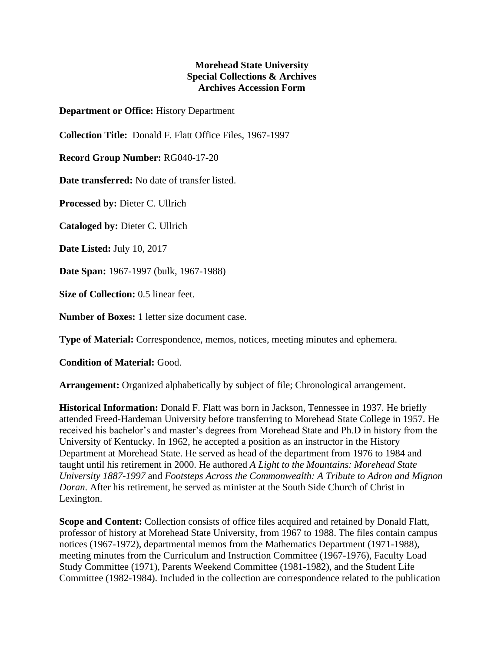## **Morehead State University Special Collections & Archives Archives Accession Form**

**Department or Office:** History Department

**Collection Title:** Donald F. Flatt Office Files, 1967-1997

**Record Group Number:** RG040-17-20

**Date transferred:** No date of transfer listed.

**Processed by:** Dieter C. Ullrich

**Cataloged by:** Dieter C. Ullrich

**Date Listed:** July 10, 2017

**Date Span:** 1967-1997 (bulk, 1967-1988)

**Size of Collection:** 0.5 linear feet.

**Number of Boxes:** 1 letter size document case.

**Type of Material:** Correspondence, memos, notices, meeting minutes and ephemera.

**Condition of Material:** Good.

**Arrangement:** Organized alphabetically by subject of file; Chronological arrangement.

**Historical Information:** Donald F. Flatt was born in Jackson, Tennessee in 1937. He briefly attended Freed-Hardeman University before transferring to Morehead State College in 1957. He received his bachelor's and master's degrees from Morehead State and Ph.D in history from the University of Kentucky. In 1962, he accepted a position as an instructor in the History Department at Morehead State. He served as head of the department from 1976 to 1984 and taught until his retirement in 2000. He authored *A Light to the Mountains: Morehead State University 1887-1997* and *Footsteps Across the Commonwealth: A Tribute to Adron and Mignon Doran*. After his retirement, he served as minister at the South Side Church of Christ in Lexington.

**Scope and Content:** Collection consists of office files acquired and retained by Donald Flatt, professor of history at Morehead State University, from 1967 to 1988. The files contain campus notices (1967-1972), departmental memos from the Mathematics Department (1971-1988), meeting minutes from the Curriculum and Instruction Committee (1967-1976), Faculty Load Study Committee (1971), Parents Weekend Committee (1981-1982), and the Student Life Committee (1982-1984). Included in the collection are correspondence related to the publication